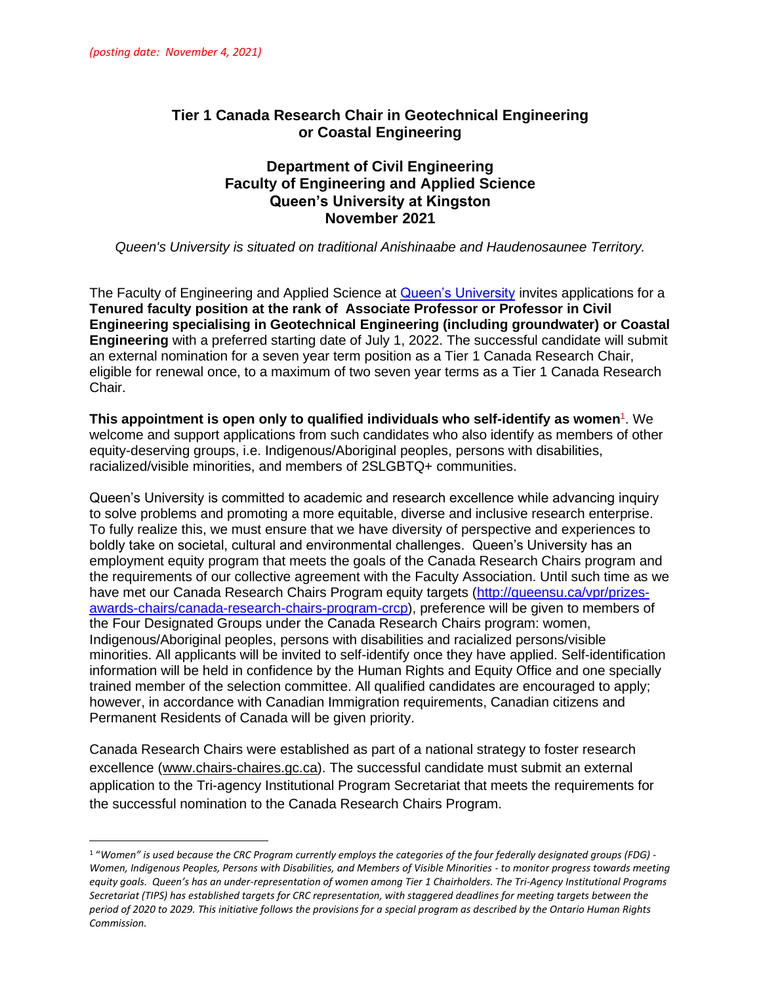# **Tier 1 Canada Research Chair in Geotechnical Engineering or Coastal Engineering**

#### **Department of Civil Engineering Faculty of Engineering and Applied Science Queen's University at Kingston November 2021**

*Queen's University is situated on traditional Anishinaabe and Haudenosaunee Territory.*

The Faculty of Engineering and Applied Science at [Queen's University](https://www.queensu.ca/) invites applications for a **Tenured faculty position at the rank of Associate Professor or Professor in Civil Engineering specialising in Geotechnical Engineering (including groundwater) or Coastal Engineering** with a preferred starting date of July 1, 2022. The successful candidate will submit an external nomination for a seven year term position as a Tier 1 Canada Research Chair, eligible for renewal once, to a maximum of two seven year terms as a Tier 1 Canada Research Chair.

**This appointment is open only to qualified individuals who self-identify as women<sup>1</sup>. We** welcome and support applications from such candidates who also identify as members of other equity-deserving groups, i.e. Indigenous/Aboriginal peoples, persons with disabilities, racialized/visible minorities, and members of 2SLGBTQ+ communities.

Queen's University is committed to academic and research excellence while advancing inquiry to solve problems and promoting a more equitable, diverse and inclusive research enterprise. To fully realize this, we must ensure that we have diversity of perspective and experiences to boldly take on societal, cultural and environmental challenges. Queen's University has an employment equity program that meets the goals of the Canada Research Chairs program and the requirements of our collective agreement with the Faculty Association. Until such time as we have met our Canada Research Chairs Program equity targets [\(http://queensu.ca/vpr/prizes](http://queensu.ca/vpr/prizes-awards-chairs/canada-research-chairs-program-crcp)[awards-chairs/canada-research-chairs-program-crcp\)](http://queensu.ca/vpr/prizes-awards-chairs/canada-research-chairs-program-crcp), preference will be given to members of the Four Designated Groups under the Canada Research Chairs program: women, Indigenous/Aboriginal peoples, persons with disabilities and racialized persons/visible minorities. All applicants will be invited to self-identify once they have applied. Self-identification information will be held in confidence by the Human Rights and Equity Office and one specially trained member of the selection committee. All qualified candidates are encouraged to apply; however, in accordance with Canadian Immigration requirements, Canadian citizens and Permanent Residents of Canada will be given priority.

Canada Research Chairs were established as part of a national strategy to foster research excellence [\(www.chairs-chaires.gc.ca\)](http://www.chairs-chaires.gc.ca/). The successful candidate must submit an external application to the Tri-agency Institutional Program Secretariat that meets the requirements for the successful nomination to the Canada Research Chairs Program.

<sup>1</sup> "*Women" is used because the CRC Program currently employs the categories of the four federally designated groups (FDG) - Women, Indigenous Peoples, Persons with Disabilities, and Members of Visible Minorities - to monitor progress towards meeting equity goals. Queen's has an under-representation of women among Tier 1 Chairholders. The Tri-Agency Institutional Programs Secretariat (TIPS) has established targets for CRC representation, with staggered deadlines for meeting targets between the period of 2020 to 2029. This initiative follows the provisions for a special program as described by the Ontario Human Rights Commission.*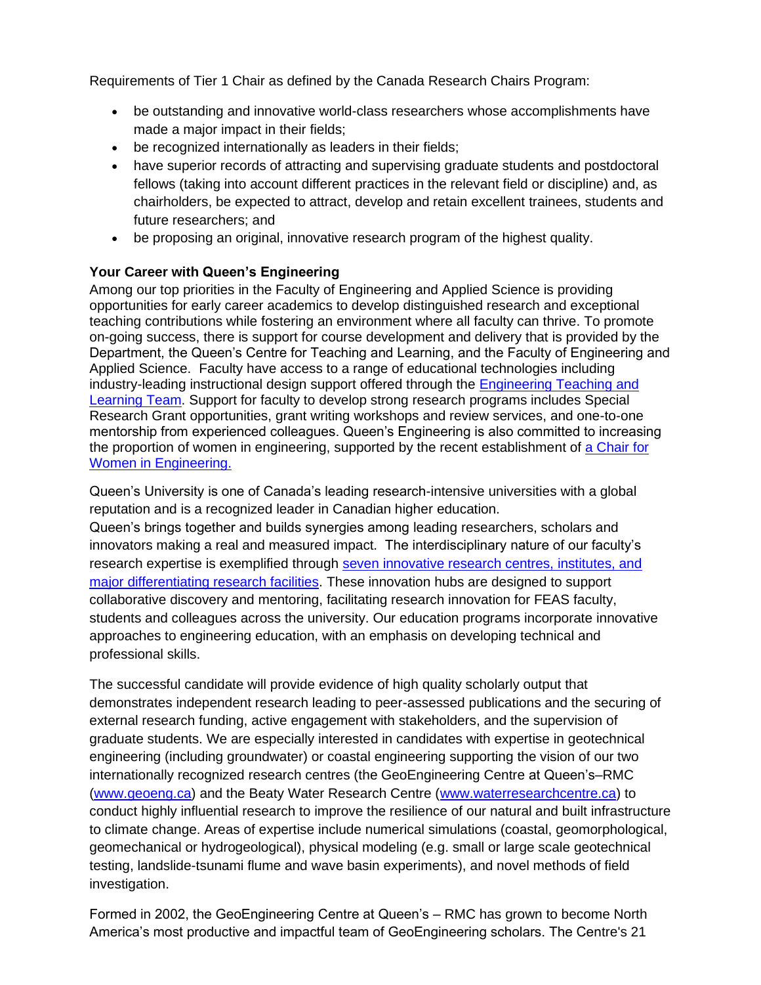Requirements of Tier 1 Chair as defined by the Canada Research Chairs Program:

- be outstanding and innovative world-class researchers whose accomplishments have made a major impact in their fields;
- be recognized internationally as leaders in their fields;
- have superior records of attracting and supervising graduate students and postdoctoral fellows (taking into account different practices in the relevant field or discipline) and, as chairholders, be expected to attract, develop and retain excellent trainees, students and future researchers; and
- be proposing an original, innovative research program of the highest quality.

## **Your Career with Queen's Engineering**

Among our top priorities in the Faculty of Engineering and Applied Science is providing opportunities for early career academics to develop distinguished research and exceptional teaching contributions while fostering an environment where all faculty can thrive. To promote on-going success, there is support for course development and delivery that is provided by the Department, the Queen's Centre for Teaching and Learning, and the Faculty of Engineering and Applied Science. Faculty have access to a range of educational technologies including industry-leading instructional design support offered through the [Engineering Teaching and](https://engineering.queensu.ca/About/teaching-and-learning/team.html)  [Learning Team.](https://engineering.queensu.ca/About/teaching-and-learning/team.html) Support for faculty to develop strong research programs includes Special Research Grant opportunities, grant writing workshops and review services, and one-to-one mentorship from experienced colleagues. Queen's Engineering is also committed to increasing the proportion of women in engineering, supported by the recent establishment of [a Chair for](https://engineering.queensu.ca/women-in-engineering/)  [Women in Engineering.](https://engineering.queensu.ca/women-in-engineering/)

Queen's University is one of Canada's leading research-intensive universities with a global reputation and is a recognized leader in Canadian higher education. Queen's brings together and builds synergies among leading researchers, scholars and innovators making a real and measured impact. The interdisciplinary nature of our faculty's research expertise is exemplified through [seven innovative research centres, institutes, and](https://engineering.queensu.ca/research/research-centres.html)  [major differentiating research facilities.](https://engineering.queensu.ca/research/research-centres.html) These innovation hubs are designed to support collaborative discovery and mentoring, facilitating research innovation for FEAS faculty, students and colleagues across the university. Our education programs incorporate innovative approaches to engineering education, with an emphasis on developing technical and professional skills.

The successful candidate will provide evidence of high quality scholarly output that demonstrates independent research leading to peer-assessed publications and the securing of external research funding, active engagement with stakeholders, and the supervision of graduate students. We are especially interested in candidates with expertise in geotechnical engineering (including groundwater) or coastal engineering supporting the vision of our two internationally recognized research centres (the GeoEngineering Centre at Queen's–RMC [\(www.geoeng.ca\)](https://can01.safelinks.protection.outlook.com/?url=http%3A%2F%2Fwww.geoeng.ca%2F&data=02%7C01%7Cyves.filion%40queensu.ca%7C6f217095c3704c3422f208d86af50496%7Cd61ecb3b38b142d582c4efb2838b925c%7C1%7C0%7C637376947856703602&sdata=Tq8t9lgRTFphEgZGhYaavpurY0A1XUbOBcCReLWOY7c%3D&reserved=0) and the Beaty Water Research Centre [\(www.waterresearchcentre.ca\)](https://can01.safelinks.protection.outlook.com/?url=http%3A%2F%2Fwww.waterresearchcentre.ca%2F&data=02%7C01%7Cyves.filion%40queensu.ca%7C6f217095c3704c3422f208d86af50496%7Cd61ecb3b38b142d582c4efb2838b925c%7C1%7C0%7C637376947856693611&sdata=5uFOynlg%2FVAUSeuD%2B%2FrLgyO0XPxgi7i9n1LY9yiu9Zo%3D&reserved=0) to conduct highly influential research to improve the resilience of our natural and built infrastructure to climate change. Areas of expertise include numerical simulations (coastal, geomorphological, geomechanical or hydrogeological), physical modeling (e.g. small or large scale geotechnical testing, landslide-tsunami flume and wave basin experiments), and novel methods of field investigation.

Formed in 2002, the GeoEngineering Centre at Queen's – RMC has grown to become North America's most productive and impactful team of GeoEngineering scholars. The Centre's 21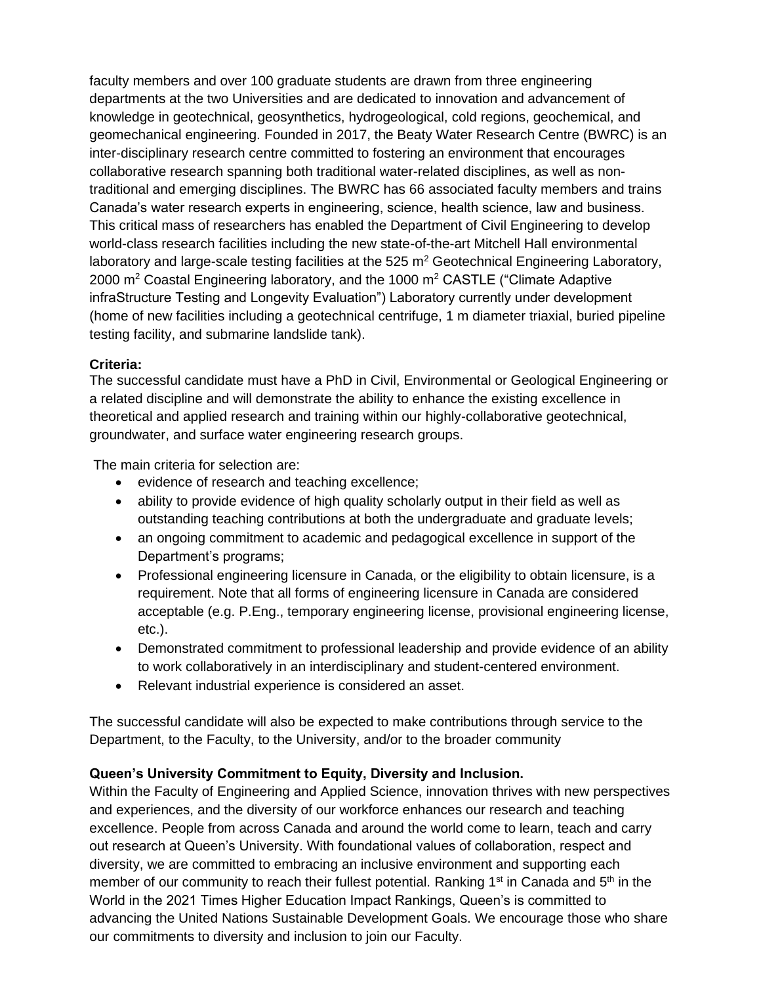faculty members and over 100 graduate students are drawn from three engineering departments at the two Universities and are dedicated to innovation and advancement of knowledge in geotechnical, geosynthetics, hydrogeological, cold regions, geochemical, and geomechanical engineering. Founded in 2017, the Beaty Water Research Centre (BWRC) is an inter-disciplinary research centre committed to fostering an environment that encourages collaborative research spanning both traditional water-related disciplines, as well as nontraditional and emerging disciplines. The BWRC has 66 associated faculty members and trains Canada's water research experts in engineering, science, health science, law and business. This critical mass of researchers has enabled the Department of Civil Engineering to develop world-class research facilities including the new state-of-the-art Mitchell Hall environmental laboratory and large-scale testing facilities at the  $525 \text{ m}^2$  Geotechnical Engineering Laboratory, 2000 m<sup>2</sup> Coastal Engineering laboratory, and the 1000 m<sup>2</sup> CASTLE ("Climate Adaptive infraStructure Testing and Longevity Evaluation") Laboratory currently under development (home of new facilities including a geotechnical centrifuge, 1 m diameter triaxial, buried pipeline testing facility, and submarine landslide tank).

#### **Criteria:**

The successful candidate must have a PhD in Civil, Environmental or Geological Engineering or a related discipline and will demonstrate the ability to enhance the existing excellence in theoretical and applied research and training within our highly-collaborative geotechnical, groundwater, and surface water engineering research groups.

The main criteria for selection are:

- evidence of research and teaching excellence;
- ability to provide evidence of high quality scholarly output in their field as well as outstanding teaching contributions at both the undergraduate and graduate levels;
- an ongoing commitment to academic and pedagogical excellence in support of the Department's programs;
- Professional engineering licensure in Canada, or the eligibility to obtain licensure, is a requirement. Note that all forms of engineering licensure in Canada are considered acceptable (e.g. P.Eng., temporary engineering license, provisional engineering license, etc.).
- Demonstrated commitment to professional leadership and provide evidence of an ability to work collaboratively in an interdisciplinary and student-centered environment.
- Relevant industrial experience is considered an asset.

The successful candidate will also be expected to make contributions through service to the Department, to the Faculty, to the University, and/or to the broader community

## **Queen's University Commitment to Equity, Diversity and Inclusion.**

Within the Faculty of Engineering and Applied Science, innovation thrives with new perspectives and experiences, and the diversity of our workforce enhances our research and teaching excellence. People from across Canada and around the world come to learn, teach and carry out research at Queen's University. With foundational values of collaboration, respect and diversity, we are committed to embracing an inclusive environment and supporting each member of our community to reach their fullest potential. Ranking  $1<sup>st</sup>$  in Canada and  $5<sup>th</sup>$  in the World in the 2021 Times Higher Education Impact Rankings, Queen's is committed to advancing the United Nations Sustainable Development Goals. We encourage those who share our commitments to diversity and inclusion to join our Faculty.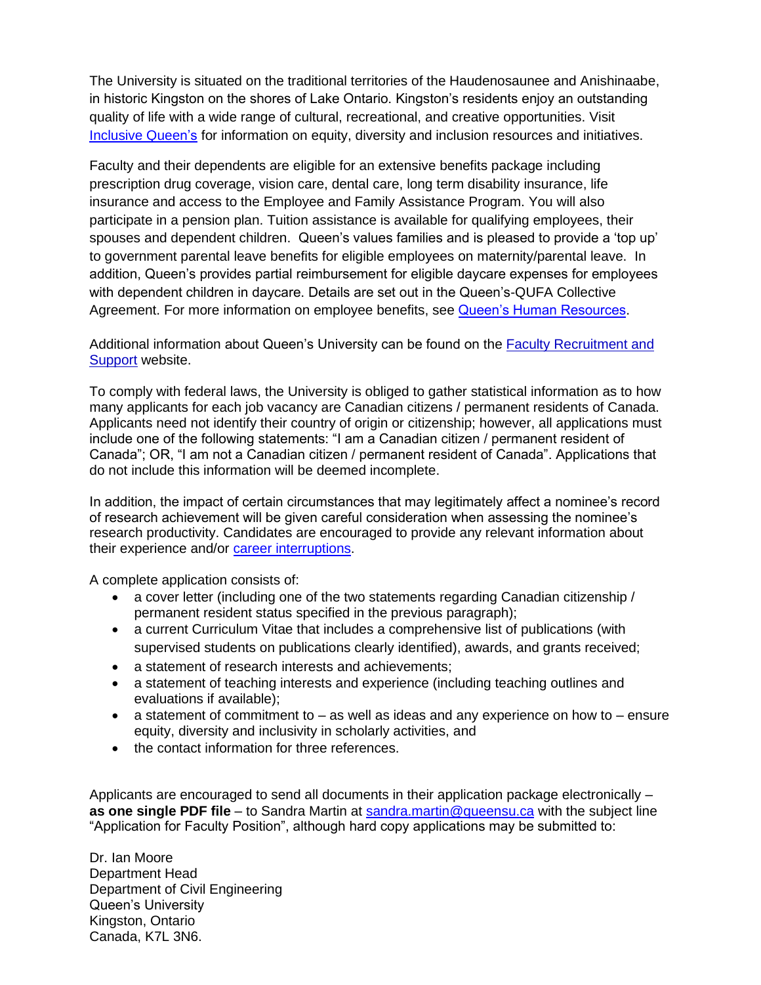The University is situated on the traditional territories of the Haudenosaunee and Anishinaabe, in historic Kingston on the shores of Lake Ontario. Kingston's residents enjoy an outstanding quality of life with a wide range of cultural, recreational, and creative opportunities. Visit **[Inclusive Queen's](https://www.queensu.ca/inclusive/)** for information on equity, diversity and inclusion resources and initiatives.

Faculty and their dependents are eligible for an extensive benefits package including prescription drug coverage, vision care, dental care, long term disability insurance, life insurance and access to the Employee and Family Assistance Program. You will also participate in a pension plan. Tuition assistance is available for qualifying employees, their spouses and dependent children. Queen's values families and is pleased to provide a 'top up' to government parental leave benefits for eligible employees on maternity/parental leave. In addition, Queen's provides partial reimbursement for eligible daycare expenses for employees with dependent children in daycare. Details are set out in the Queen's-QUFA Collective Agreement. For more information on employee benefits, see [Queen's Human Resources.](http://www.queensu.ca/humanresources/)

Additional information about Queen's University can be found on the [Faculty Recruitment and](http://www.queensu.ca/facultyrecruitment)  [Support](http://www.queensu.ca/facultyrecruitment) website.

To comply with federal laws, the University is obliged to gather statistical information as to how many applicants for each job vacancy are Canadian citizens / permanent residents of Canada. Applicants need not identify their country of origin or citizenship; however, all applications must include one of the following statements: "I am a Canadian citizen / permanent resident of Canada"; OR, "I am not a Canadian citizen / permanent resident of Canada". Applications that do not include this information will be deemed incomplete.

In addition, the impact of certain circumstances that may legitimately affect a nominee's record of research achievement will be given careful consideration when assessing the nominee's research productivity. Candidates are encouraged to provide any relevant information about their experience and/or [career interruptions.](https://www.chairs-chaires.gc.ca/peer_reviewers-evaluateurs/productivity-productivite-eng.aspx)

A complete application consists of:

- a cover letter (including one of the two statements regarding Canadian citizenship / permanent resident status specified in the previous paragraph);
- a current Curriculum Vitae that includes a comprehensive list of publications (with supervised students on publications clearly identified), awards, and grants received;
- a statement of research interests and achievements;
- a statement of teaching interests and experience (including teaching outlines and evaluations if available);
- $\bullet$  a statement of commitment to  $-$  as well as ideas and any experience on how to  $-$  ensure equity, diversity and inclusivity in scholarly activities, and
- the contact information for three references.

Applicants are encouraged to send all documents in their application package electronically – **as one single PDF file** – to Sandra Martin at [sandra.martin@queensu.ca](mailto:sandra.martin@queensu.ca) with the subject line "Application for Faculty Position", although hard copy applications may be submitted to:

Dr. Ian Moore Department Head Department of Civil Engineering Queen's University Kingston, Ontario Canada, K7L 3N6.